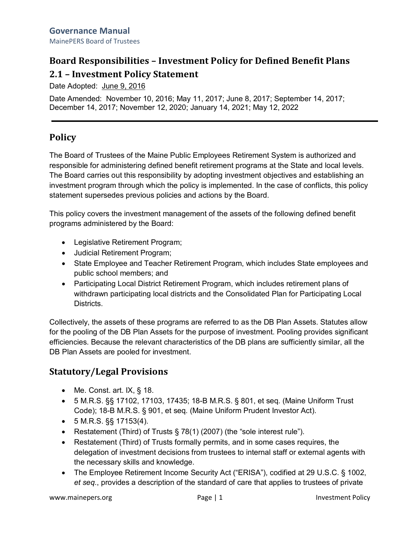# **Board Responsibilities – Investment Policy for Defined Benefit Plans 2.1 – Investment Policy Statement**

Date Adopted: June 9, 2016

Date Amended: November 10, 2016; May 11, 2017; June 8, 2017; September 14, 2017; December 14, 2017; November 12, 2020; January 14, 2021; May 12, 2022

# **Policy**

The Board of Trustees of the Maine Public Employees Retirement System is authorized and responsible for administering defined benefit retirement programs at the State and local levels. The Board carries out this responsibility by adopting investment objectives and establishing an investment program through which the policy is implemented. In the case of conflicts, this policy statement supersedes previous policies and actions by the Board.

This policy covers the investment management of the assets of the following defined benefit programs administered by the Board:

- Legislative Retirement Program;
- Judicial Retirement Program;
- State Employee and Teacher Retirement Program, which includes State employees and public school members; and
- Participating Local District Retirement Program, which includes retirement plans of withdrawn participating local districts and the Consolidated Plan for Participating Local Districts.

Collectively, the assets of these programs are referred to as the DB Plan Assets. Statutes allow for the pooling of the DB Plan Assets for the purpose of investment. Pooling provides significant efficiencies. Because the relevant characteristics of the DB plans are sufficiently similar, all the DB Plan Assets are pooled for investment.

# **Statutory/Legal Provisions**

- Me. Const. art. IX, § 18.
- 5 M.R.S. §§ 17102, 17103, 17435; 18-B M.R.S. § 801, et seq. (Maine Uniform Trust Code); 18-B M.R.S. § 901, et seq. (Maine Uniform Prudent Investor Act).
- $5$  M.R.S.  $\S$ § 17153(4).
- Restatement (Third) of Trusts § 78(1) (2007) (the "sole interest rule").
- Restatement (Third) of Trusts formally permits, and in some cases requires, the delegation of investment decisions from trustees to internal staff or external agents with the necessary skills and knowledge.
- The Employee Retirement Income Security Act ("ERISA"), codified at 29 U.S.C. § 1002, *et seq*., provides a description of the standard of care that applies to trustees of private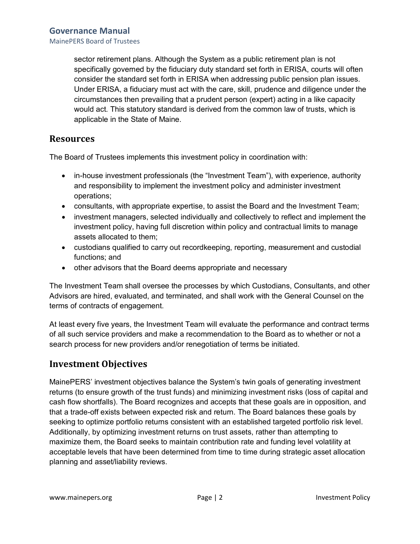MainePERS Board of Trustees

sector retirement plans. Although the System as a public retirement plan is not specifically governed by the fiduciary duty standard set forth in ERISA, courts will often consider the standard set forth in ERISA when addressing public pension plan issues. Under ERISA, a fiduciary must act with the care, skill, prudence and diligence under the circumstances then prevailing that a prudent person (expert) acting in a like capacity would act. This statutory standard is derived from the common law of trusts, which is applicable in the State of Maine.

### **Resources**

The Board of Trustees implements this investment policy in coordination with:

- in-house investment professionals (the "Investment Team"), with experience, authority and responsibility to implement the investment policy and administer investment operations;
- consultants, with appropriate expertise, to assist the Board and the Investment Team;
- investment managers, selected individually and collectively to reflect and implement the investment policy, having full discretion within policy and contractual limits to manage assets allocated to them;
- custodians qualified to carry out recordkeeping, reporting, measurement and custodial functions; and
- other advisors that the Board deems appropriate and necessary

The Investment Team shall oversee the processes by which Custodians, Consultants, and other Advisors are hired, evaluated, and terminated, and shall work with the General Counsel on the terms of contracts of engagement.

At least every five years, the Investment Team will evaluate the performance and contract terms of all such service providers and make a recommendation to the Board as to whether or not a search process for new providers and/or renegotiation of terms be initiated.

### **Investment Objectives**

MainePERS' investment objectives balance the System's twin goals of generating investment returns (to ensure growth of the trust funds) and minimizing investment risks (loss of capital and cash flow shortfalls). The Board recognizes and accepts that these goals are in opposition, and that a trade-off exists between expected risk and return. The Board balances these goals by seeking to optimize portfolio returns consistent with an established targeted portfolio risk level. Additionally, by optimizing investment returns on trust assets, rather than attempting to maximize them, the Board seeks to maintain contribution rate and funding level volatility at acceptable levels that have been determined from time to time during strategic asset allocation planning and asset/liability reviews.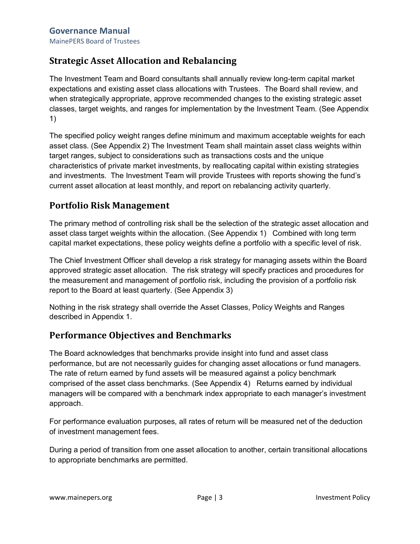# **Strategic Asset Allocation and Rebalancing**

The Investment Team and Board consultants shall annually review long-term capital market expectations and existing asset class allocations with Trustees. The Board shall review, and when strategically appropriate, approve recommended changes to the existing strategic asset classes, target weights, and ranges for implementation by the Investment Team. (See Appendix 1)

The specified policy weight ranges define minimum and maximum acceptable weights for each asset class. (See Appendix 2) The Investment Team shall maintain asset class weights within target ranges, subject to considerations such as transactions costs and the unique characteristics of private market investments, by reallocating capital within existing strategies and investments. The Investment Team will provide Trustees with reports showing the fund's current asset allocation at least monthly, and report on rebalancing activity quarterly.

## **Portfolio Risk Management**

The primary method of controlling risk shall be the selection of the strategic asset allocation and asset class target weights within the allocation. (See Appendix 1) Combined with long term capital market expectations, these policy weights define a portfolio with a specific level of risk.

The Chief Investment Officer shall develop a risk strategy for managing assets within the Board approved strategic asset allocation. The risk strategy will specify practices and procedures for the measurement and management of portfolio risk, including the provision of a portfolio risk report to the Board at least quarterly. (See Appendix 3)

Nothing in the risk strategy shall override the Asset Classes, Policy Weights and Ranges described in Appendix 1.

# **Performance Objectives and Benchmarks**

The Board acknowledges that benchmarks provide insight into fund and asset class performance, but are not necessarily guides for changing asset allocations or fund managers. The rate of return earned by fund assets will be measured against a policy benchmark comprised of the asset class benchmarks. (See Appendix 4) Returns earned by individual managers will be compared with a benchmark index appropriate to each manager's investment approach.

For performance evaluation purposes, all rates of return will be measured net of the deduction of investment management fees.

During a period of transition from one asset allocation to another, certain transitional allocations to appropriate benchmarks are permitted.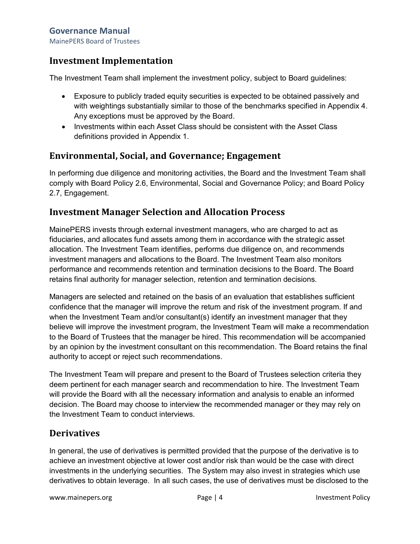### **Governance Manual**

MainePERS Board of Trustees

### **Investment Implementation**

The Investment Team shall implement the investment policy, subject to Board guidelines:

- Exposure to publicly traded equity securities is expected to be obtained passively and with weightings substantially similar to those of the benchmarks specified in Appendix 4. Any exceptions must be approved by the Board.
- Investments within each Asset Class should be consistent with the Asset Class definitions provided in Appendix 1.

### **Environmental, Social, and Governance; Engagement**

In performing due diligence and monitoring activities, the Board and the Investment Team shall comply with Board Policy 2.6, Environmental, Social and Governance Policy; and Board Policy 2.7, Engagement.

### **Investment Manager Selection and Allocation Process**

MainePERS invests through external investment managers, who are charged to act as fiduciaries, and allocates fund assets among them in accordance with the strategic asset allocation. The Investment Team identifies, performs due diligence on, and recommends investment managers and allocations to the Board. The Investment Team also monitors performance and recommends retention and termination decisions to the Board. The Board retains final authority for manager selection, retention and termination decisions.

Managers are selected and retained on the basis of an evaluation that establishes sufficient confidence that the manager will improve the return and risk of the investment program. If and when the Investment Team and/or consultant(s) identify an investment manager that they believe will improve the investment program, the Investment Team will make a recommendation to the Board of Trustees that the manager be hired. This recommendation will be accompanied by an opinion by the investment consultant on this recommendation. The Board retains the final authority to accept or reject such recommendations.

The Investment Team will prepare and present to the Board of Trustees selection criteria they deem pertinent for each manager search and recommendation to hire. The Investment Team will provide the Board with all the necessary information and analysis to enable an informed decision. The Board may choose to interview the recommended manager or they may rely on the Investment Team to conduct interviews.

### **Derivatives**

In general, the use of derivatives is permitted provided that the purpose of the derivative is to achieve an investment objective at lower cost and/or risk than would be the case with direct investments in the underlying securities. The System may also invest in strategies which use derivatives to obtain leverage. In all such cases, the use of derivatives must be disclosed to the

www.mainepers.org **Page | 4** Investment Policy Page | 4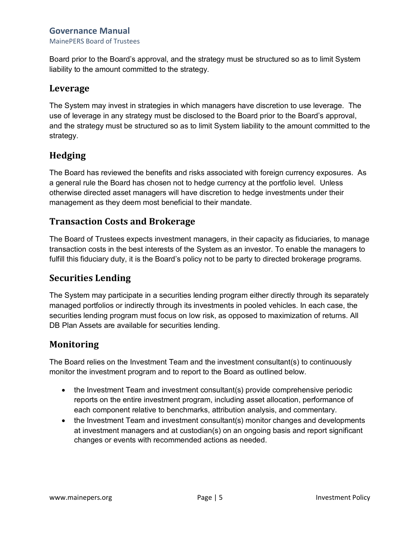### **Governance Manual**

MainePERS Board of Trustees

Board prior to the Board's approval, and the strategy must be structured so as to limit System liability to the amount committed to the strategy.

### **Leverage**

The System may invest in strategies in which managers have discretion to use leverage. The use of leverage in any strategy must be disclosed to the Board prior to the Board's approval, and the strategy must be structured so as to limit System liability to the amount committed to the strategy.

# **Hedging**

The Board has reviewed the benefits and risks associated with foreign currency exposures. As a general rule the Board has chosen not to hedge currency at the portfolio level. Unless otherwise directed asset managers will have discretion to hedge investments under their management as they deem most beneficial to their mandate.

### **Transaction Costs and Brokerage**

The Board of Trustees expects investment managers, in their capacity as fiduciaries, to manage transaction costs in the best interests of the System as an investor. To enable the managers to fulfill this fiduciary duty, it is the Board's policy not to be party to directed brokerage programs.

### **Securities Lending**

The System may participate in a securities lending program either directly through its separately managed portfolios or indirectly through its investments in pooled vehicles. In each case, the securities lending program must focus on low risk, as opposed to maximization of returns. All DB Plan Assets are available for securities lending.

### **Monitoring**

The Board relies on the Investment Team and the investment consultant(s) to continuously monitor the investment program and to report to the Board as outlined below.

- the Investment Team and investment consultant(s) provide comprehensive periodic reports on the entire investment program, including asset allocation, performance of each component relative to benchmarks, attribution analysis, and commentary.
- the Investment Team and investment consultant(s) monitor changes and developments at investment managers and at custodian(s) on an ongoing basis and report significant changes or events with recommended actions as needed.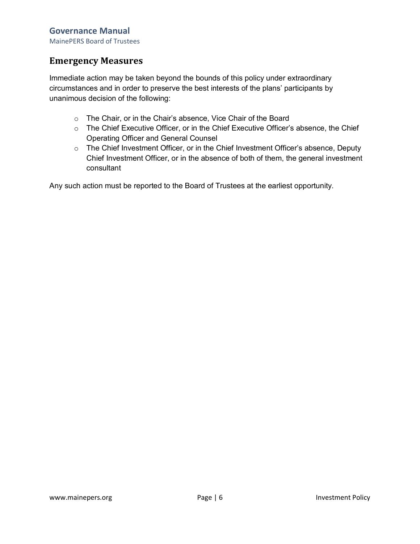MainePERS Board of Trustees

### **Emergency Measures**

Immediate action may be taken beyond the bounds of this policy under extraordinary circumstances and in order to preserve the best interests of the plans' participants by unanimous decision of the following:

- o The Chair, or in the Chair's absence, Vice Chair of the Board
- o The Chief Executive Officer, or in the Chief Executive Officer's absence, the Chief Operating Officer and General Counsel
- o The Chief Investment Officer, or in the Chief Investment Officer's absence, Deputy Chief Investment Officer, or in the absence of both of them, the general investment consultant

Any such action must be reported to the Board of Trustees at the earliest opportunity.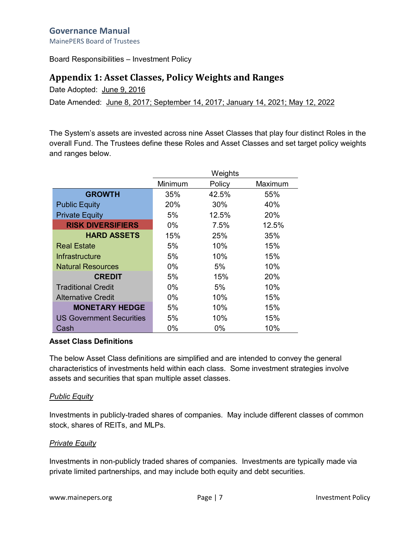MainePERS Board of Trustees

Board Responsibilities – Investment Policy

### **Appendix 1: Asset Classes, Policy Weights and Ranges**

Date Adopted: June 9, 2016

Date Amended: June 8, 2017; September 14, 2017; January 14, 2021; May 12, 2022

The System's assets are invested across nine Asset Classes that play four distinct Roles in the overall Fund. The Trustees define these Roles and Asset Classes and set target policy weights and ranges below.

|                           | Weights |        |         |
|---------------------------|---------|--------|---------|
|                           | Minimum | Policy | Maximum |
| <b>GROWTH</b>             | 35%     | 42.5%  | 55%     |
| <b>Public Equity</b>      | 20%     | 30%    | 40%     |
| <b>Private Equity</b>     | 5%      | 12.5%  | 20%     |
| <b>RISK DIVERSIFIERS</b>  | $0\%$   | 7.5%   | 12.5%   |
| <b>HARD ASSETS</b>        | 15%     | 25%    | 35%     |
| <b>Real Estate</b>        | 5%      | 10%    | 15%     |
| <b>Infrastructure</b>     | 5%      | 10%    | 15%     |
| <b>Natural Resources</b>  | $0\%$   | 5%     | 10%     |
| <b>CREDIT</b>             | 5%      | 15%    | 20%     |
| <b>Traditional Credit</b> | $0\%$   | 5%     | 10%     |
| <b>Alternative Credit</b> | $0\%$   | 10%    | 15%     |
| <b>MONETARY HEDGE</b>     | 5%      | 10%    | 15%     |
| US Government Securities  | 5%      | 10%    | 15%     |
| Cash                      | 0%      | 0%     | 10%     |

#### **Asset Class Definitions**

The below Asset Class definitions are simplified and are intended to convey the general characteristics of investments held within each class. Some investment strategies involve assets and securities that span multiple asset classes.

#### *Public Equity*

Investments in publicly-traded shares of companies. May include different classes of common stock, shares of REITs, and MLPs.

#### *Private Equity*

Investments in non-publicly traded shares of companies. Investments are typically made via private limited partnerships, and may include both equity and debt securities.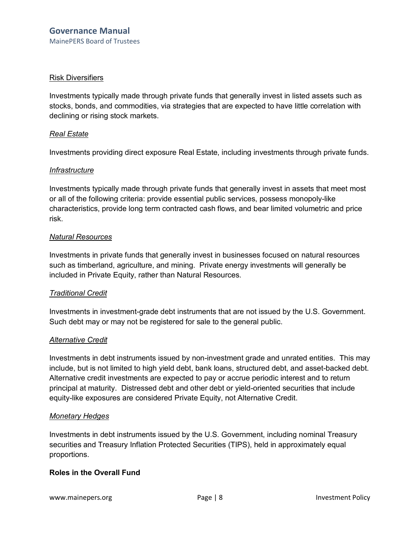#### Risk Diversifiers

Investments typically made through private funds that generally invest in listed assets such as stocks, bonds, and commodities, via strategies that are expected to have little correlation with declining or rising stock markets.

#### *Real Estate*

Investments providing direct exposure Real Estate, including investments through private funds.

#### *Infrastructure*

Investments typically made through private funds that generally invest in assets that meet most or all of the following criteria: provide essential public services, possess monopoly-like characteristics, provide long term contracted cash flows, and bear limited volumetric and price risk.

#### *Natural Resources*

Investments in private funds that generally invest in businesses focused on natural resources such as timberland, agriculture, and mining. Private energy investments will generally be included in Private Equity, rather than Natural Resources.

#### *Traditional Credit*

Investments in investment-grade debt instruments that are not issued by the U.S. Government. Such debt may or may not be registered for sale to the general public.

#### *Alternative Credit*

Investments in debt instruments issued by non-investment grade and unrated entities. This may include, but is not limited to high yield debt, bank loans, structured debt, and asset-backed debt. Alternative credit investments are expected to pay or accrue periodic interest and to return principal at maturity. Distressed debt and other debt or yield-oriented securities that include equity-like exposures are considered Private Equity, not Alternative Credit.

#### *Monetary Hedges*

Investments in debt instruments issued by the U.S. Government, including nominal Treasury securities and Treasury Inflation Protected Securities (TIPS), held in approximately equal proportions.

#### **Roles in the Overall Fund**

www.mainepers.org **No. 2018 Page | 8** Investment Policy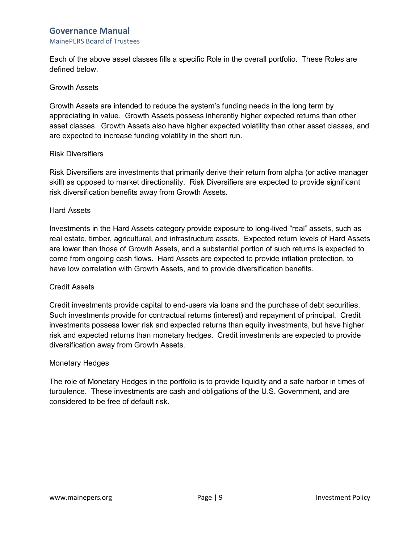### **Governance Manual**

#### MainePERS Board of Trustees

Each of the above asset classes fills a specific Role in the overall portfolio. These Roles are defined below.

#### Growth Assets

Growth Assets are intended to reduce the system's funding needs in the long term by appreciating in value. Growth Assets possess inherently higher expected returns than other asset classes. Growth Assets also have higher expected volatility than other asset classes, and are expected to increase funding volatility in the short run.

#### Risk Diversifiers

Risk Diversifiers are investments that primarily derive their return from alpha (or active manager skill) as opposed to market directionality. Risk Diversifiers are expected to provide significant risk diversification benefits away from Growth Assets.

#### Hard Assets

Investments in the Hard Assets category provide exposure to long-lived "real" assets, such as real estate, timber, agricultural, and infrastructure assets. Expected return levels of Hard Assets are lower than those of Growth Assets, and a substantial portion of such returns is expected to come from ongoing cash flows. Hard Assets are expected to provide inflation protection, to have low correlation with Growth Assets, and to provide diversification benefits.

#### Credit Assets

Credit investments provide capital to end-users via loans and the purchase of debt securities. Such investments provide for contractual returns (interest) and repayment of principal. Credit investments possess lower risk and expected returns than equity investments, but have higher risk and expected returns than monetary hedges. Credit investments are expected to provide diversification away from Growth Assets.

#### Monetary Hedges

The role of Monetary Hedges in the portfolio is to provide liquidity and a safe harbor in times of turbulence. These investments are cash and obligations of the U.S. Government, and are considered to be free of default risk.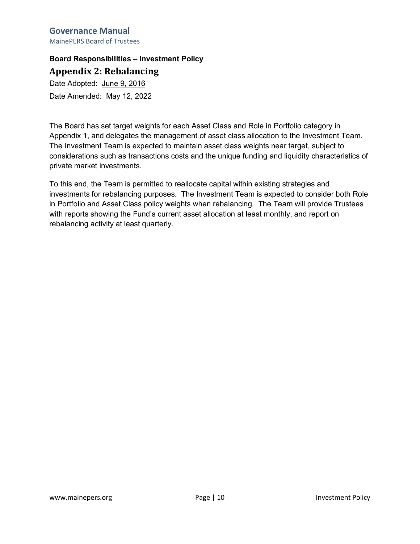#### **Governance Manual** MainePERS Board of Trustees

**Board Responsibilities – Investment Policy Appendix 2: Rebalancing**

Date Adopted: June 9, 2016 Date Amended: May 12, 2022

The Board has set target weights for each Asset Class and Role in Portfolio category in Appendix 1, and delegates the management of asset class allocation to the Investment Team. The Investment Team is expected to maintain asset class weights near target, subject to considerations such as transactions costs and the unique funding and liquidity characteristics of private market investments.

To this end, the Team is permitted to reallocate capital within existing strategies and investments for rebalancing purposes. The Investment Team is expected to consider both Role in Portfolio and Asset Class policy weights when rebalancing. The Team will provide Trustees with reports showing the Fund's current asset allocation at least monthly, and report on rebalancing activity at least quarterly.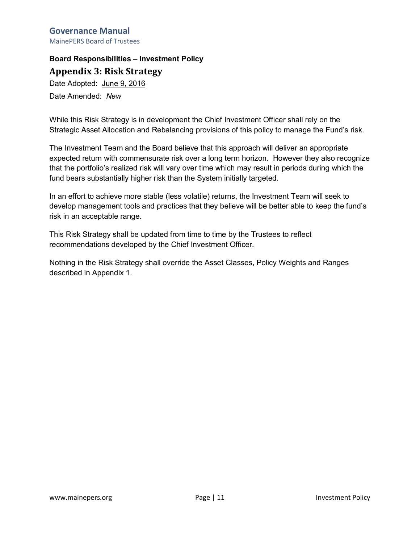#### **Governance Manual** MainePERS Board of Trustees

# **Board Responsibilities – Investment Policy**

**Appendix 3: Risk Strategy**

Date Adopted: June 9, 2016 Date Amended: *New*

While this Risk Strategy is in development the Chief Investment Officer shall rely on the Strategic Asset Allocation and Rebalancing provisions of this policy to manage the Fund's risk.

The Investment Team and the Board believe that this approach will deliver an appropriate expected return with commensurate risk over a long term horizon. However they also recognize that the portfolio's realized risk will vary over time which may result in periods during which the fund bears substantially higher risk than the System initially targeted.

In an effort to achieve more stable (less volatile) returns, the Investment Team will seek to develop management tools and practices that they believe will be better able to keep the fund's risk in an acceptable range.

This Risk Strategy shall be updated from time to time by the Trustees to reflect recommendations developed by the Chief Investment Officer.

Nothing in the Risk Strategy shall override the Asset Classes, Policy Weights and Ranges described in Appendix 1.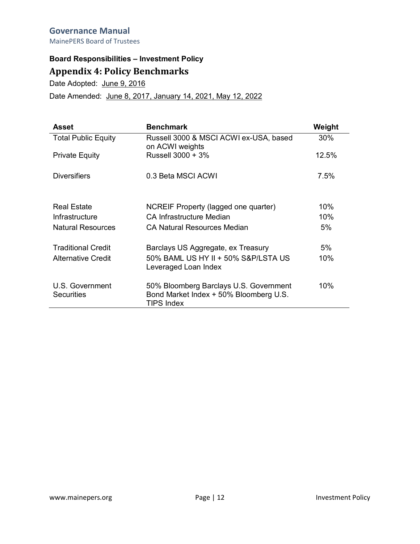#### **Governance Manual** MainePERS Board of Trustees

# **Board Responsibilities – Investment Policy Appendix 4: Policy Benchmarks**

Date Adopted: June 9, 2016

Date Amended: June 8, 2017, January 14, 2021, May 12, 2022

| Asset                                | <b>Benchmark</b>                                                                                      | Weight |
|--------------------------------------|-------------------------------------------------------------------------------------------------------|--------|
| <b>Total Public Equity</b>           | Russell 3000 & MSCI ACWI ex-USA, based<br>on ACWI weights                                             | 30%    |
| <b>Private Equity</b>                | Russell 3000 + 3%                                                                                     | 12.5%  |
| <b>Diversifiers</b>                  | 0.3 Beta MSCI ACWI                                                                                    | 7.5%   |
| <b>Real Estate</b>                   | NCREIF Property (lagged one quarter)                                                                  | 10%    |
| Infrastructure                       | CA Infrastructure Median                                                                              | 10%    |
| <b>Natural Resources</b>             | CA Natural Resources Median                                                                           | 5%     |
| <b>Traditional Credit</b>            | Barclays US Aggregate, ex Treasury                                                                    | 5%     |
| <b>Alternative Credit</b>            | 50% BAML US HY II + 50% S&P/LSTA US<br>Leveraged Loan Index                                           | 10%    |
| U.S. Government<br><b>Securities</b> | 50% Bloomberg Barclays U.S. Government<br>Bond Market Index + 50% Bloomberg U.S.<br><b>TIPS Index</b> | 10%    |